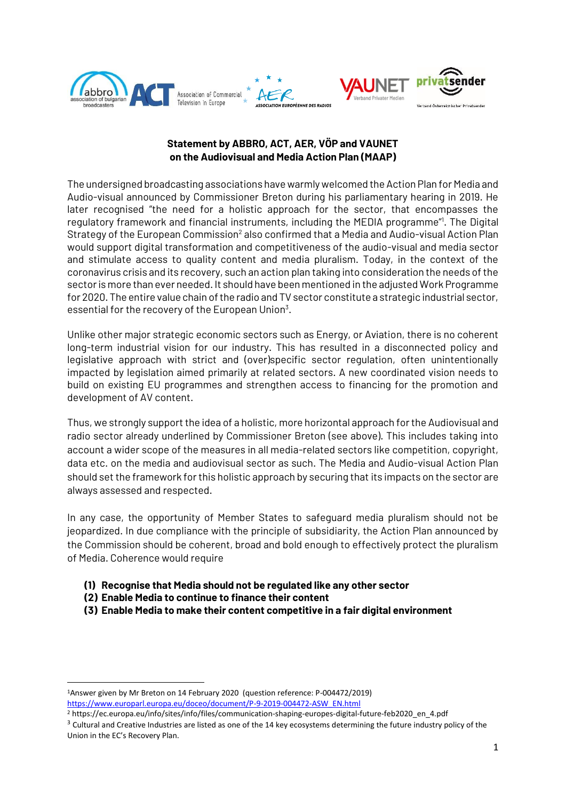

# **Statement by ABBRO, ACT, AER, VÖP and VAUNET on the Audiovisual and Media Action Plan (MAAP)**

The undersigned broadcasting associations have warmly welcomed the Action Plan for Media and Audio-visual announced by Commissioner Breton during his parliamentary hearing in 2019. He later recognised "the need for a holistic approach for the sector, that encompasses the regulatory framework and financial instruments, including the MEDIA programme<sup>"1</sup>. The Digital Strategy of the European Commission<sup>2</sup> also confirmed that a Media and Audio-visual Action Plan would support digital transformation and competitiveness of the audio-visual and media sector and stimulate access to quality content and media pluralism. Today, in the context of the coronavirus crisis and its recovery, such an action plan taking into consideration the needs of the sector is more than ever needed. It should have been mentioned in the adjusted Work Programme for 2020. The entire value chain of the radio and TV sector constitute a strategic industrial sector, essential for the recovery of the European Union $3$ .

Unlike other major strategic economic sectors such as Energy, or Aviation, there is no coherent long-term industrial vision for our industry. This has resulted in a disconnected policy and legislative approach with strict and (over)specific sector regulation, often unintentionally impacted by legislation aimed primarily at related sectors. A new coordinated vision needs to build on existing EU programmes and strengthen access to financing for the promotion and development of AV content.

Thus, we strongly support the idea of a holistic, more horizontal approach for the Audiovisual and radio sector already underlined by Commissioner Breton (see above). This includes taking into account a wider scope of the measures in all media-related sectors like competition, copyright, data etc. on the media and audiovisual sector as such. The Media and Audio-visual Action Plan should set the framework for this holistic approach by securing that its impacts on the sector are always assessed and respected.

In any case, the opportunity of Member States to safeguard media pluralism should not be jeopardized. In due compliance with the principle of subsidiarity, the Action Plan announced by the Commission should be coherent, broad and bold enough to effectively protect the pluralism of Media. Coherence would require

- **(1) Recognise that Media should not be regulated like any other sector**
- **(2) Enable Media to continue to finance their content**
- **(3) Enable Media to make their content competitive in a fair digital environment**

<sup>1</sup>Answer given by Mr Breton on 14 February 2020 (question reference: P-004472/2019) [https://www.europarl.europa.eu/doceo/document/P-9-2019-004472-ASW\\_EN.html](https://www.europarl.europa.eu/doceo/document/P-9-2019-004472-ASW_EN.html)

<sup>2</sup> https://ec.europa.eu/info/sites/info/files/communication-shaping-europes-digital-future-feb2020\_en\_4.pdf

 $3$  Cultural and Creative Industries are listed as one of the 14 key ecosystems determining the future industry policy of the Union in the EC's Recovery Plan.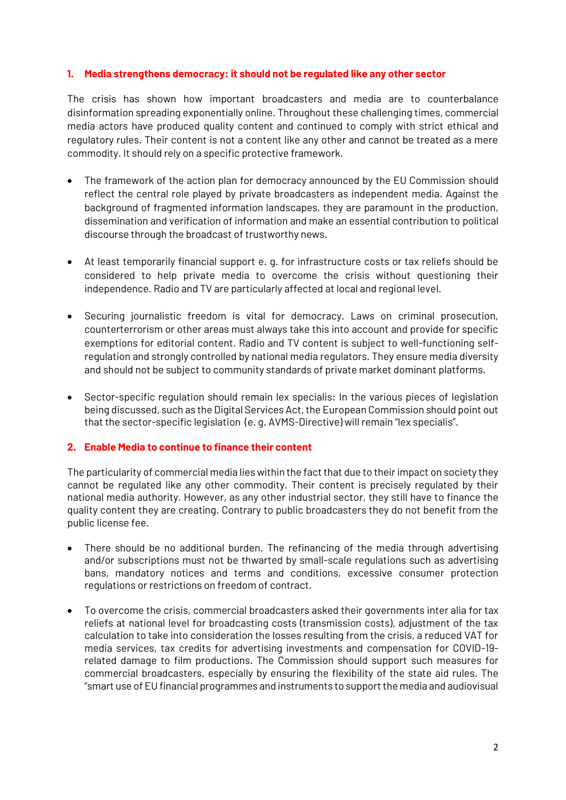### **1. Media strengthens democracy: it should not be regulated like any other sector**

The crisis has shown how important broadcasters and media are to counterbalance disinformation spreading exponentially online. Throughout these challenging times, commercial media actors have produced quality content and continued to comply with strict ethical and regulatory rules. Their content is not a content like any other and cannot be treated as a mere commodity. It should rely on a specific protective framework.

- The framework of the action plan for democracy announced by the EU Commission should reflect the central role played by private broadcasters as independent media. Against the background of fragmented information landscapes, they are paramount in the production, dissemination and verification of information and make an essential contribution to political discourse through the broadcast of trustworthy news.
- At least temporarily financial support e. g. for infrastructure costs or tax reliefs should be considered to help private media to overcome the crisis without questioning their independence. Radio and TV are particularly affected at local and regional level.
- Securing journalistic freedom is vital for democracy. Laws on criminal prosecution, counterterrorism or other areas must always take this into account and provide for specific exemptions for editorial content. Radio and TV content is subject to well-functioning selfregulation and strongly controlled by national media regulators. They ensure media diversity and should not be subject to community standards of private market dominant platforms.
- Sector-specific regulation should remain lex specialis: In the various pieces of legislation being discussed, such as the Digital Services Act, the European Commission should point out that the sector-specific legislation (e. g. AVMS-Directive) will remain "lex specialis".

### **2. Enable Media to continue to finance their content**

The particularity of commercial media lies within the fact that due to their impact on society they cannot be regulated like any other commodity. Their content is precisely regulated by their national media authority. However, as any other industrial sector, they still have to finance the quality content they are creating. Contrary to public broadcasters they do not benefit from the public license fee.

- There should be no additional burden. The refinancing of the media through advertising and/or subscriptions must not be thwarted by small-scale regulations such as advertising bans, mandatory notices and terms and conditions, excessive consumer protection regulations or restrictions on freedom of contract.
- To overcome the crisis, commercial broadcasters asked their governments inter alia for tax reliefs at national level for broadcasting costs (transmission costs), adjustment of the tax calculation to take into consideration the losses resulting from the crisis, a reduced VAT for media services, tax credits for advertising investments and compensation for COVID-19 related damage to film productions. The Commission should support such measures for commercial broadcasters, especially by ensuring the flexibility of the state aid rules. The "smart use of EU financial programmes and instruments to support the media and audiovisual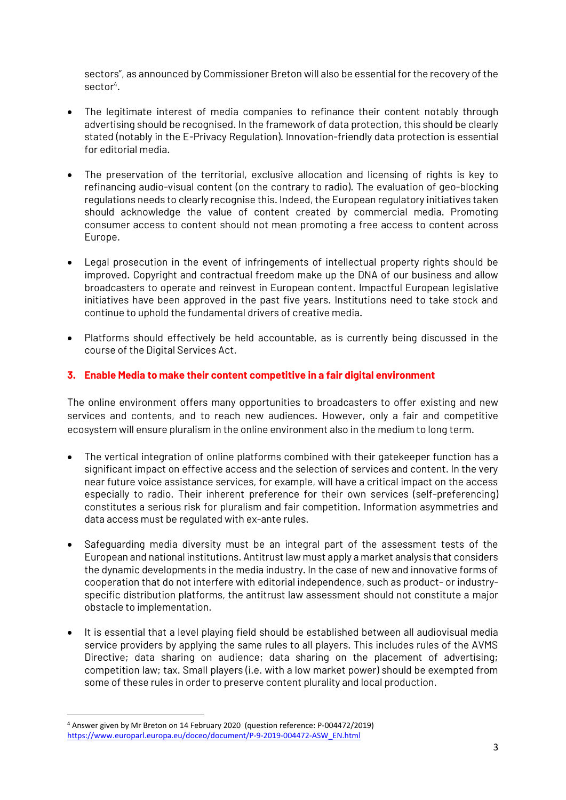sectors", as announced by Commissioner Breton will also be essential for the recovery of the sector<sup>4</sup>.

- The legitimate interest of media companies to refinance their content notably through advertising should be recognised. In the framework of data protection, this should be clearly stated (notably in the E-Privacy Regulation). Innovation-friendly data protection is essential for editorial media.
- The preservation of the territorial, exclusive allocation and licensing of rights is key to refinancing audio-visual content (on the contrary to radio). The evaluation of geo-blocking regulations needs to clearly recognise this. Indeed, the European regulatory initiatives taken should acknowledge the value of content created by commercial media. Promoting consumer access to content should not mean promoting a free access to content across Europe.
- Legal prosecution in the event of infringements of intellectual property rights should be improved. Copyright and contractual freedom make up the DNA of our business and allow broadcasters to operate and reinvest in European content. Impactful European legislative initiatives have been approved in the past five years. Institutions need to take stock and continue to uphold the fundamental drivers of creative media.
- Platforms should effectively be held accountable, as is currently being discussed in the course of the Digital Services Act.

## **3. Enable Media to make their content competitive in a fair digital environment**

The online environment offers many opportunities to broadcasters to offer existing and new services and contents, and to reach new audiences. However, only a fair and competitive ecosystem will ensure pluralism in the online environment also in the medium to long term.

- The vertical integration of online platforms combined with their gatekeeper function has a significant impact on effective access and the selection of services and content. In the very near future voice assistance services, for example, will have a critical impact on the access especially to radio. Their inherent preference for their own services (self-preferencing) constitutes a serious risk for pluralism and fair competition. Information asymmetries and data access must be regulated with ex-ante rules.
- Safeguarding media diversity must be an integral part of the assessment tests of the European and national institutions. Antitrust law must apply a market analysis that considers the dynamic developments in the media industry. In the case of new and innovative forms of cooperation that do not interfere with editorial independence, such as product- or industryspecific distribution platforms, the antitrust law assessment should not constitute a major obstacle to implementation.
- It is essential that a level playing field should be established between all audiovisual media service providers by applying the same rules to all players. This includes rules of the AVMS Directive; data sharing on audience; data sharing on the placement of advertising; competition law; tax. Small players (i.e. with a low market power) should be exempted from some of these rules in order to preserve content plurality and local production.

<sup>4</sup> Answer given by Mr Breton on 14 February 2020 (question reference: P-004472/2019) [https://www.europarl.europa.eu/doceo/document/P-9-2019-004472-ASW\\_EN.html](https://www.europarl.europa.eu/doceo/document/P-9-2019-004472-ASW_EN.html)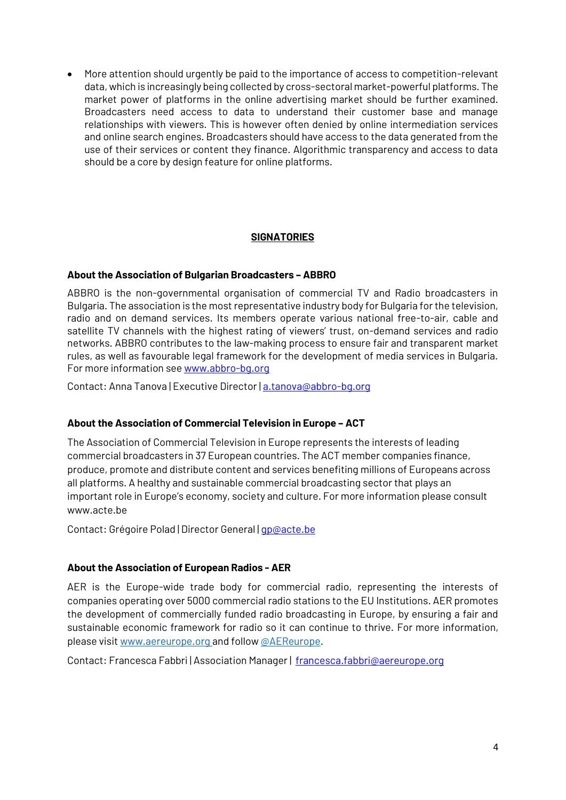• More attention should urgently be paid to the importance of access to competition-relevant data, which is increasingly being collected by cross-sectoral market-powerful platforms. The market power of platforms in the online advertising market should be further examined. Broadcasters need access to data to understand their customer base and manage relationships with viewers. This is however often denied by online intermediation services and online search engines. Broadcasters should have access to the data generated from the use of their services or content they finance. Algorithmic transparency and access to data should be a core by design feature for online platforms.

### **SIGNATORIES**

### **About the Association of Bulgarian Broadcasters – ABBRO**

ABBRO is the non-governmental organisation of commercial TV and Radio broadcasters in Bulgaria. The association is the most representative industry body for Bulgaria for the television, radio and on demand services. Its members operate various national free-to-air, cable and satellite TV channels with the highest rating of viewers' trust, on-demand services and radio networks. ABBRO contributes to the law-making process to ensure fair and transparent market rules, as well as favourable legal framework for the development of media services in Bulgaria. For more information see [www.abbro-bg.org](http://www.abbro-bg.org/)

Contact: Anna Tanova | Executive Director | a.tanova@abbro-bq.org

### **About the Association of Commercial Television in Europe – ACT**

The Association of Commercial Television in Europe represents the interests of leading commercial broadcasters in 37 European countries. The ACT member companies finance, produce, promote and distribute content and services benefiting millions of Europeans across all platforms. A healthy and sustainable commercial broadcasting sector that plays an important role in Europe's economy, society and culture. For more information please consult www.acte.be

Contact: Grégoire Polad | Director General | [gp@acte.be](mailto:gp@acte.be)

### **About the Association of European Radios - AER**

AER is the Europe-wide trade body for commercial radio, representing the interests of companies operating over 5000 commercial radio stations to the EU Institutions. AER promotes the development of commercially funded radio broadcasting in Europe, by ensuring a fair and sustainable economic framework for radio so it can continue to thrive. For more information, please visi[t www.aereurope.org](http://www.aereurope.org/) and follo[w @AEReurope.](https://twitter.com/aereurope?lang=en)

Contact: Francesca Fabbri | Association Manager | [francesca.fabbri@aereurope.org](mailto:francesca.fabbri@aereurope.org)